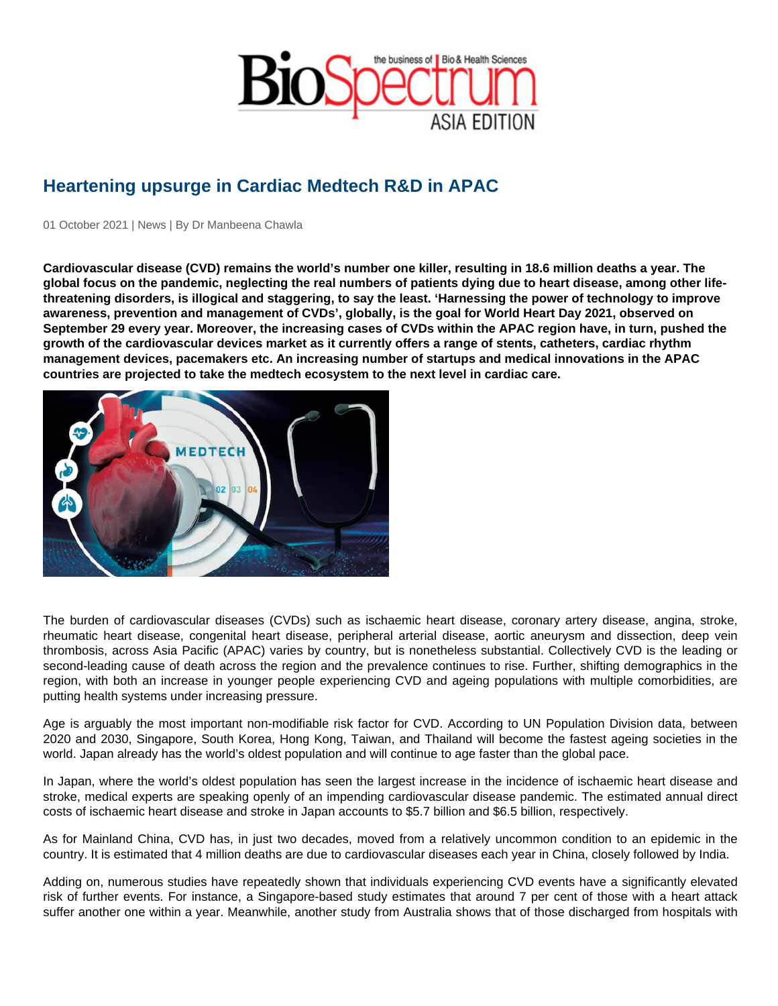## Heartening upsurge in Cardiac Medtech R&D in APAC

01 October 2021 | News | By Dr Manbeena Chawla

Cardiovascular disease (CVD) remains the world's number one killer, resulting in 18.6 million deaths a year. The global focus on the pandemic, neglecting the real numbers of patients dying due to heart disease, among other lifethreatening disorders, is illogical and staggering, to say the least. 'Harnessing the power of technology to improve awareness, prevention and management of CVDs', globally, is the goal for World Heart Day 2021, observed on September 29 every year. Moreover, the increasing cases of CVDs within the APAC region have, in turn, pushed the growth of the cardiovascular devices market as it currently offers a range of stents, catheters, cardiac rhythm management devices, pacemakers etc. An increasing number of startups and medical innovations in the APAC countries are projected to take the medtech ecosystem to the next level in cardiac care.

The burden of cardiovascular diseases (CVDs) such as ischaemic heart disease, coronary artery disease, angina, stroke, rheumatic heart disease, congenital heart disease, peripheral arterial disease, aortic aneurysm and dissection, deep vein thrombosis, across Asia Pacific (APAC) varies by country, but is nonetheless substantial. Collectively CVD is the leading or second-leading cause of death across the region and the prevalence continues to rise. Further, shifting demographics in the region, with both an increase in younger people experiencing CVD and ageing populations with multiple comorbidities, are putting health systems under increasing pressure.

Age is arguably the most important non-modifiable risk factor for CVD. According to UN Population Division data, between 2020 and 2030, Singapore, South Korea, Hong Kong, Taiwan, and Thailand will become the fastest ageing societies in the world. Japan already has the world's oldest population and will continue to age faster than the global pace.

In Japan, where the world's oldest population has seen the largest increase in the incidence of ischaemic heart disease and stroke, medical experts are speaking openly of an impending cardiovascular disease pandemic. The estimated annual direct costs of ischaemic heart disease and stroke in Japan accounts to \$5.7 billion and \$6.5 billion, respectively.

As for Mainland China, CVD has, in just two decades, moved from a relatively uncommon condition to an epidemic in the country. It is estimated that 4 million deaths are due to cardiovascular diseases each year in China, closely followed by India.

Adding on, numerous studies have repeatedly shown that individuals experiencing CVD events have a significantly elevated risk of further events. For instance, a Singapore-based study estimates that around 7 per cent of those with a heart attack suffer another one within a year. Meanwhile, another study from Australia shows that of those discharged from hospitals with